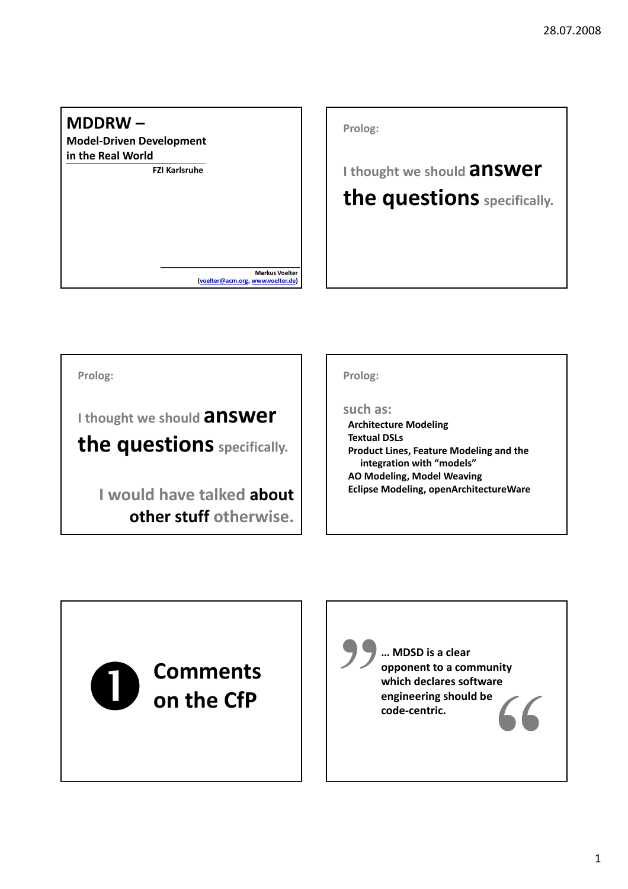

**Prolog: <sup>I</sup> thought we should answer the questions** specifically.

**Prolog:**

**<sup>I</sup> thought we should answer**

**the questions** specifically.

**I would have talked about other stuff otherwise.**

#### **Prolog:**

#### **such as:**

**Architecture Modeling Textual DSLs Product Lines, Feature Modeling and the integration with "models" AO Modeling, Model Weaving Eclipse Modeling, openArchitectureWare**

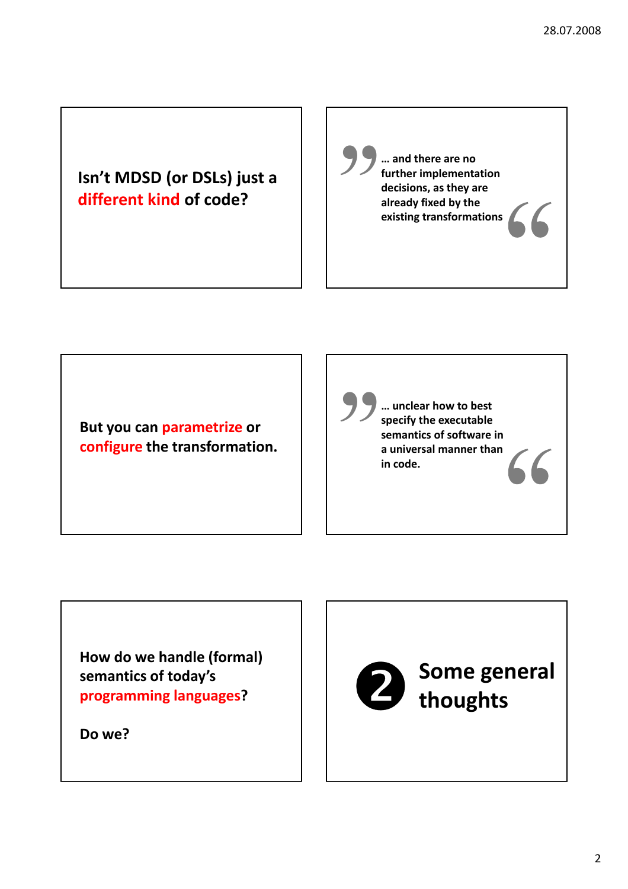#### **Isn't MDSD (or DSLs) just a different kind of code?**

**… and there are no further implementation decisions, as they are** <del>"</del> **already fixed by the existing transformations**

**But you can parametrize or configure the transformation.**

**… unclear how to best specify the executable semantics of software in** <del>"</del> **a universal manner than in code.**

**How do we handle (formal) semantics of today's programming languages?**

**Do we?**

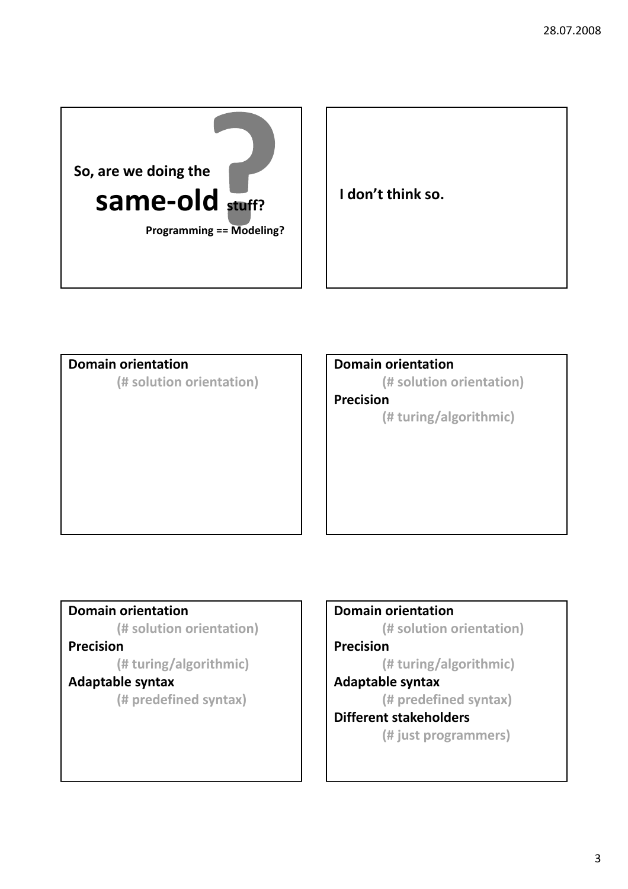

#### **Domain orientation**

**(# solution orientation)**

**Domain orientation**

**(# solution orientation)**

**Precision**

**(# turing/algorithmic)**

#### **Domain orientation**

**(# solution orientation)**

#### **Precision**

**(# turing/algorithmic)**

#### **Adaptable syntax**

**(# predefined syntax)**

#### **Domain orientation**

**(# solution orientation)**

#### **Precision**

**(# turing/algorithmic)**

#### **Adaptable syntax**

**(# predefined syntax)**

#### **Different stakeholders**

**(# just programmers)**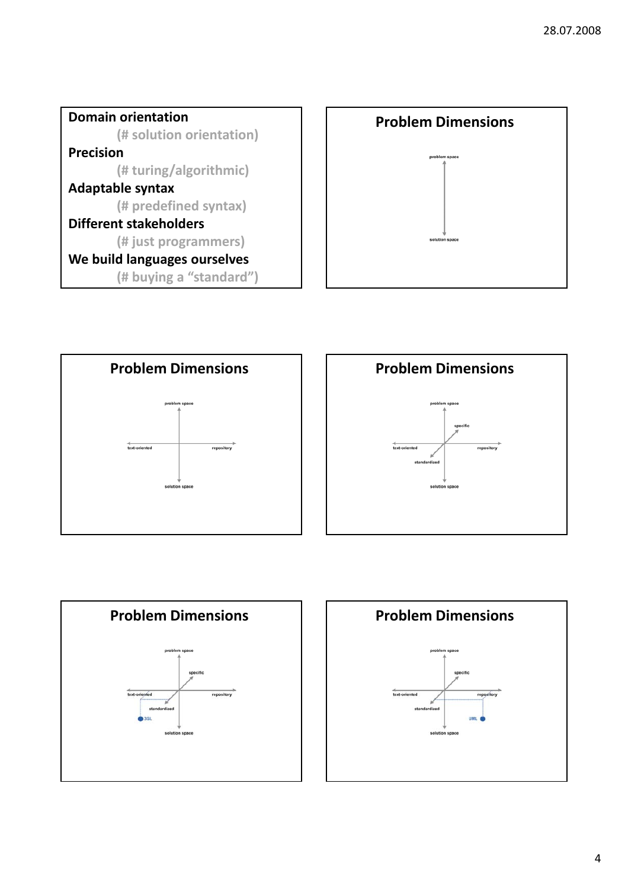









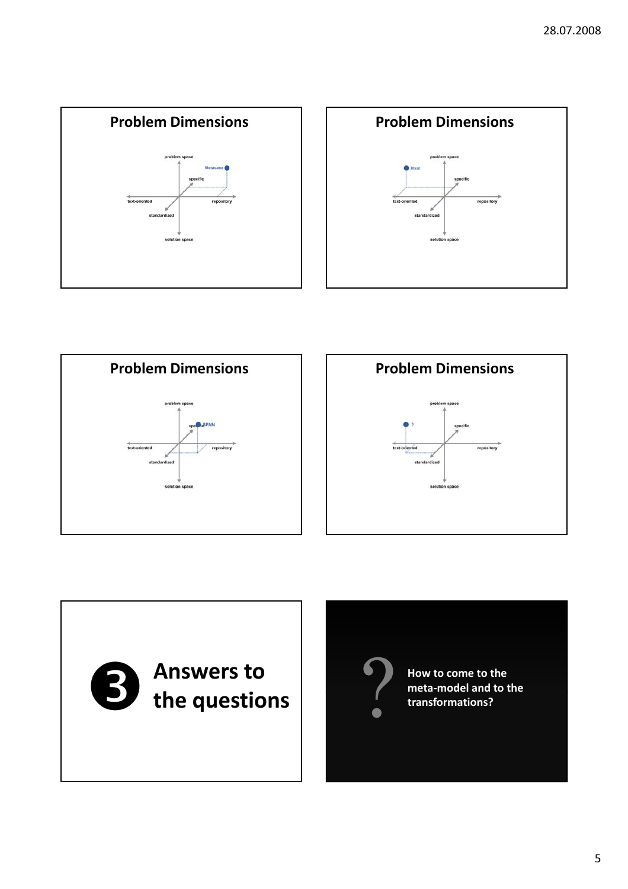









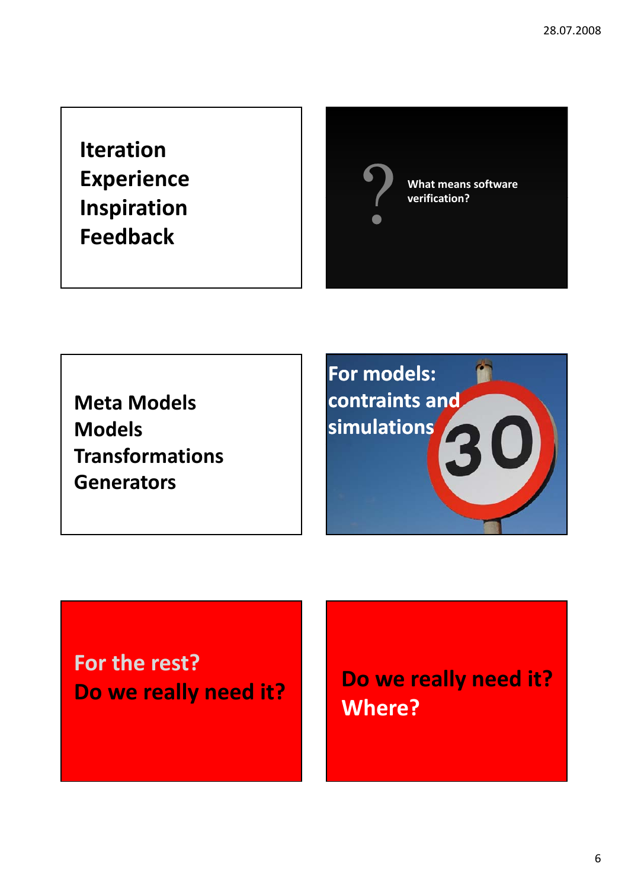## **Iteration Experience Inspiration Feedback**

**What means software v** What means verification?

**Meta Models Models Transformations Generators**



# **For the rest?**

**Do we really need it? Do we really need it? Where?**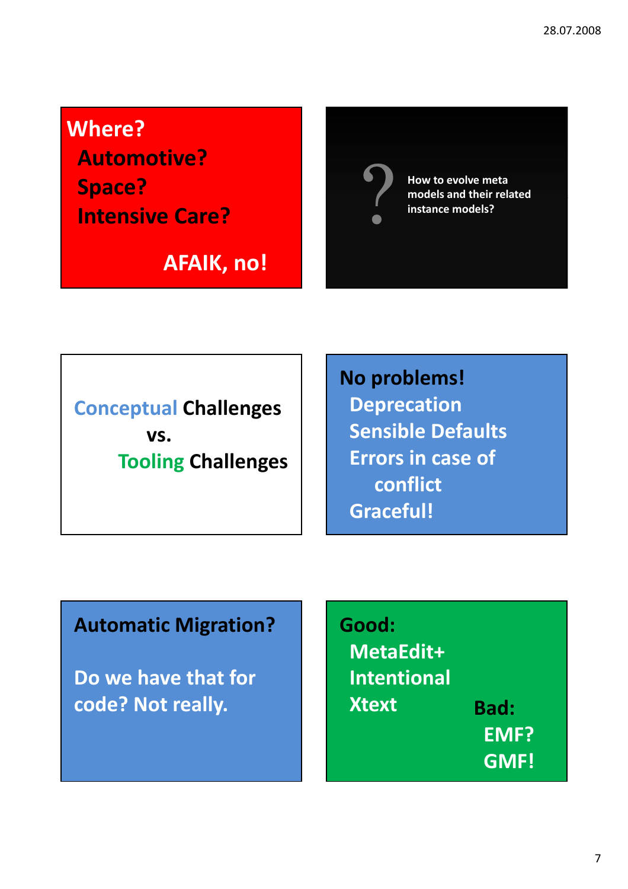**Where?**

**Automotive? Space? Intensive Care?**

**AFAIK, no!**



**How to evolve meta models and their related** ? **instance models?**

**Conceptual Challenges vs. Tooling Challenges** **No problems! Deprecation Sensible Defaults Errors in case of conflict Graceful!**

### **Automatic Migration?**

**Do we have that for code? Not really.**

**Good: MetaEdit+ Intentional Xtext Bad: EMF? GMF!**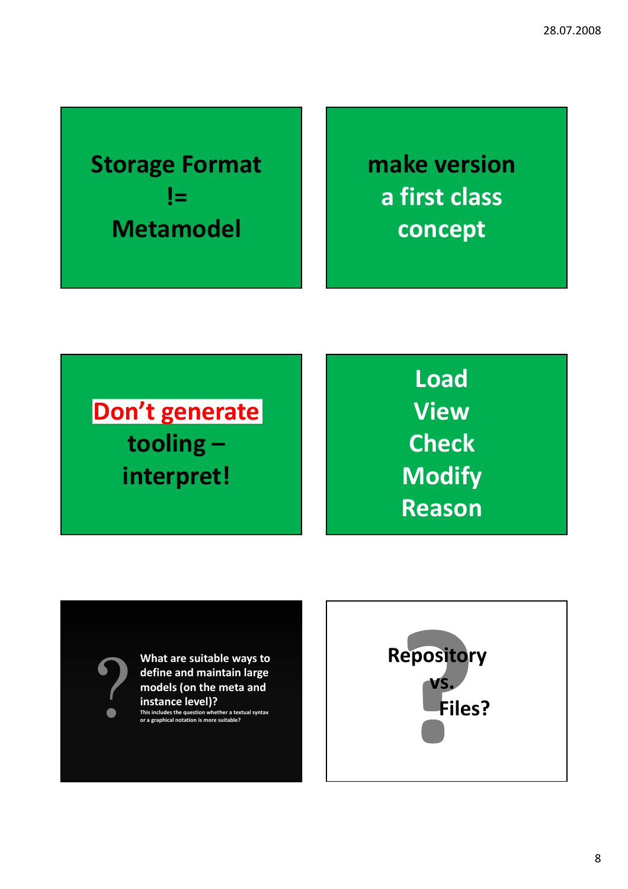**Storage Format != Metamodel**

**make version a first class concept**

**Don't generate tooling – interpret!**

**Load View Check Modify Reason**

**What are suitable ways to define and maintain large Mhat are suitable ways to<br>define and maintain large<br>models (on the meta and<br>instance level)?<br>This includes the question whether a textual synta<br>or a graphical notation is more suitable? instance level)?**

**This includes the question whether a textual syntax or a graphical notation is more suitable?**

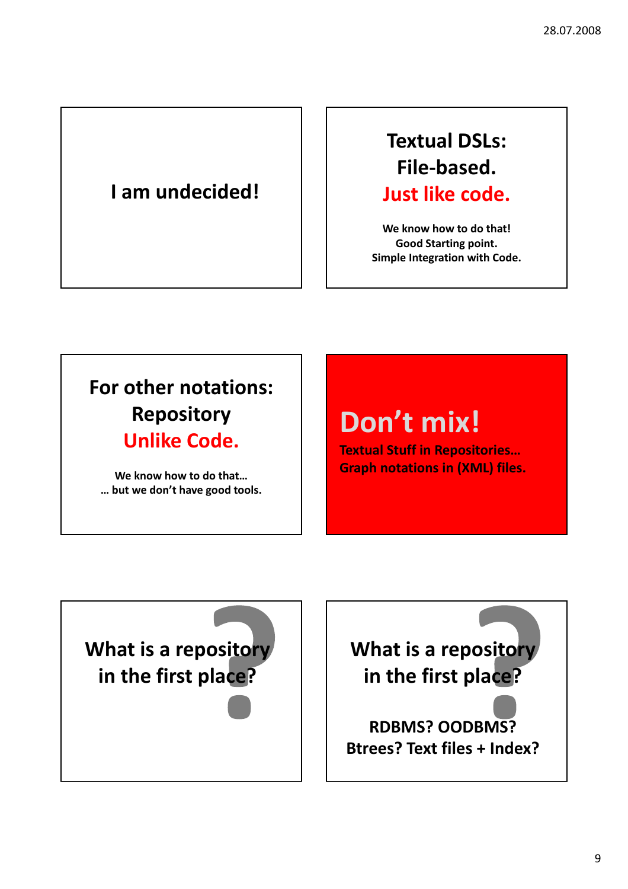## **I am undecided!**

**Textual DSLs: File‐based. Just like code.**

**We know how to do that! Good Starting point. Simple Integration with Code.**

## **For other notations: Repository Unlike Code.**

**We know how to do that… … but we don't have good tools.**

# **Don't mix!**

**Textual Stuff in Repositories… Graph notations in (XML) files.**

**What is a repository in the first place?**

**What is a repository in the first place?**

**RDBMS? OODBMS? Btrees? Text files + Index?**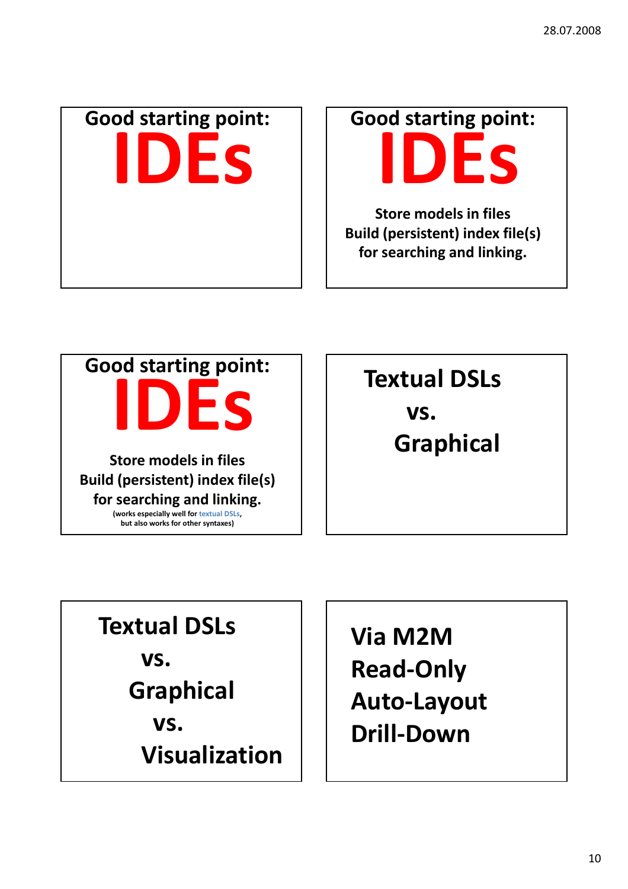

**Good starting point: IDEs**

**Store models in files Build (persistent) index file(s) for searching and linking.**



**Textual DSLs vs. Graphical**

## **Textual DSLs**

**vs.**

**Graphical**

**vs.**

**Visualization**

**Via M2M Read‐Only Auto‐Layout Drill‐Down**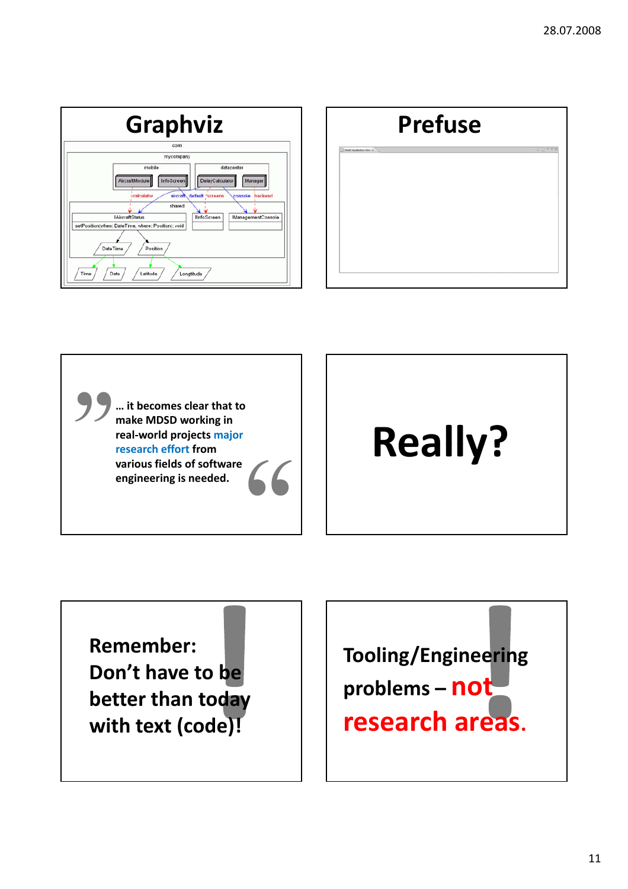





**Remember: Don't have to be better than today with text (code)!**

**Tooling/Engineering problems – not research areas.**